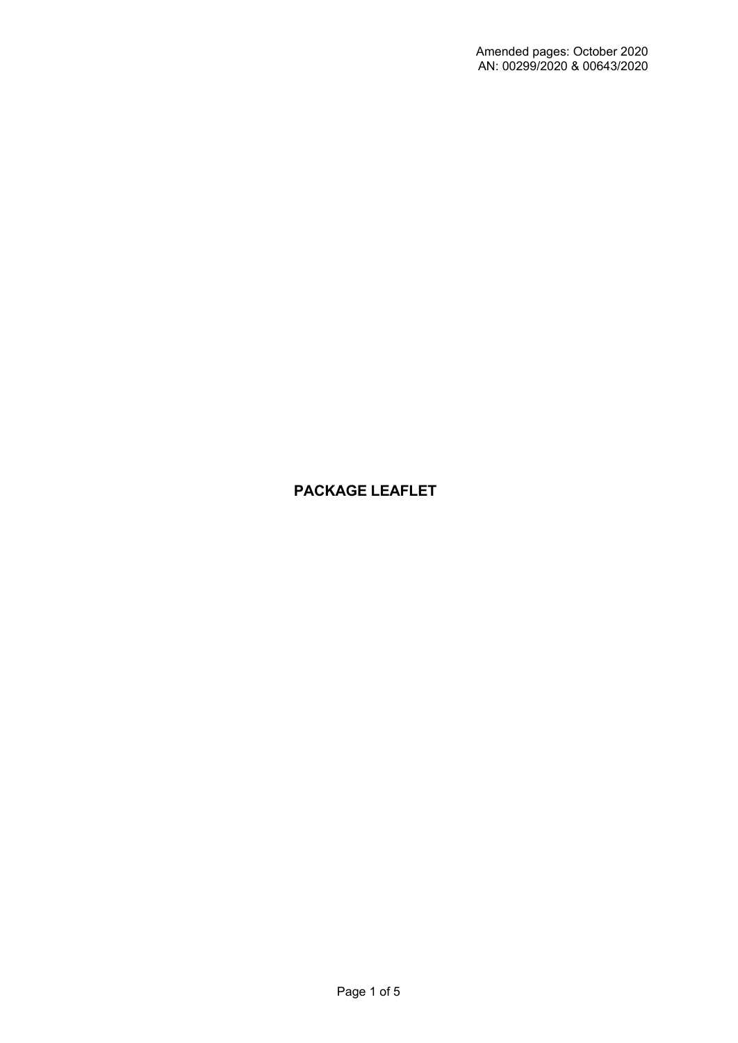# **PACKAGE LEAFLET**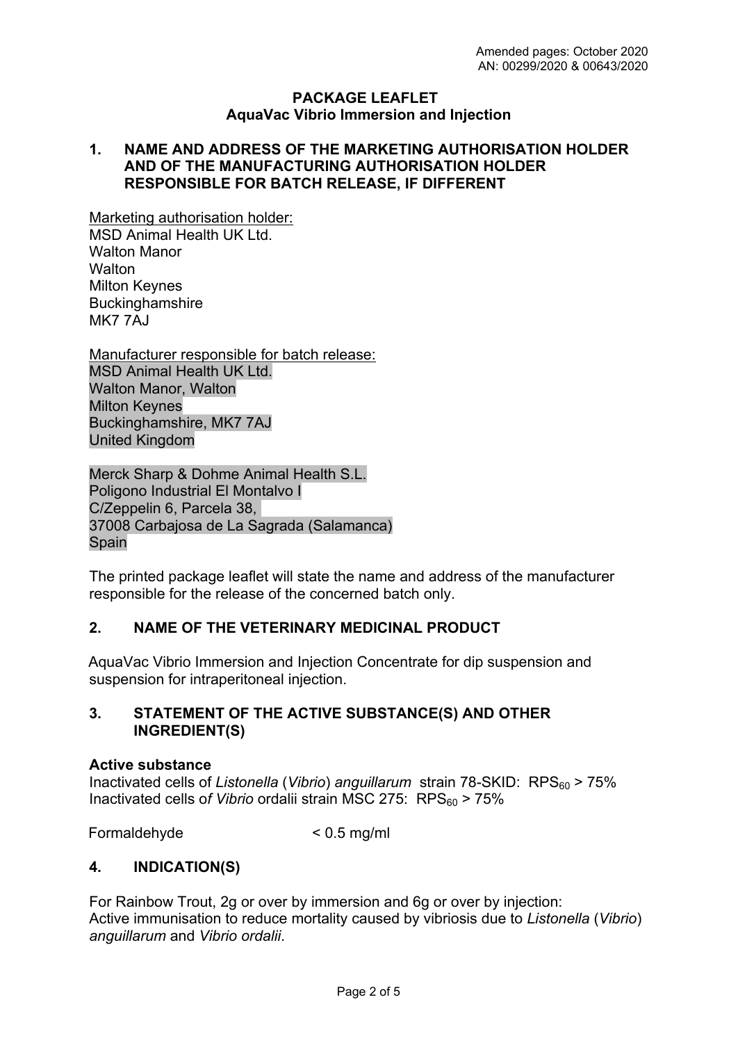#### **PACKAGE LEAFLET AquaVac Vibrio Immersion and Injection**

# **1. NAME AND ADDRESS OF THE MARKETING AUTHORISATION HOLDER AND OF THE MANUFACTURING AUTHORISATION HOLDER RESPONSIBLE FOR BATCH RELEASE, IF DIFFERENT**

Marketing authorisation holder: MSD Animal Health UK Ltd. Walton Manor **Walton** Milton Keynes **Buckinghamshire** MK7 7AJ

Manufacturer responsible for batch release: MSD Animal Health UK Ltd. Walton Manor, Walton Milton Keynes Buckinghamshire, MK7 7AJ United Kingdom

Merck Sharp & Dohme Animal Health S.L. Poligono Industrial El Montalvo I C/Zeppelin 6, Parcela 38, 37008 Carbajosa de La Sagrada (Salamanca) Spain

The printed package leaflet will state the name and address of the manufacturer responsible for the release of the concerned batch only.

# **2. NAME OF THE VETERINARY MEDICINAL PRODUCT**

AquaVac Vibrio Immersion and Injection Concentrate for dip suspension and suspension for intraperitoneal injection.

# **3. STATEMENT OF THE ACTIVE SUBSTANCE(S) AND OTHER INGREDIENT(S)**

# **Active substance**

Inactivated cells of *Listonella* (*Vibrio*) anguillarum strain 78-SKID: RPS<sub>60</sub> > 75% Inactivated cells of Vibrio ordalii strain MSC 275: RPS<sub>60</sub> > 75%

Formaldehyde < 0.5 mg/ml

# **4. INDICATION(S)**

For Rainbow Trout, 2g or over by immersion and 6g or over by injection: Active immunisation to reduce mortality caused by vibriosis due to *Listonella* (*Vibrio*) *anguillarum* and *Vibrio ordalii*.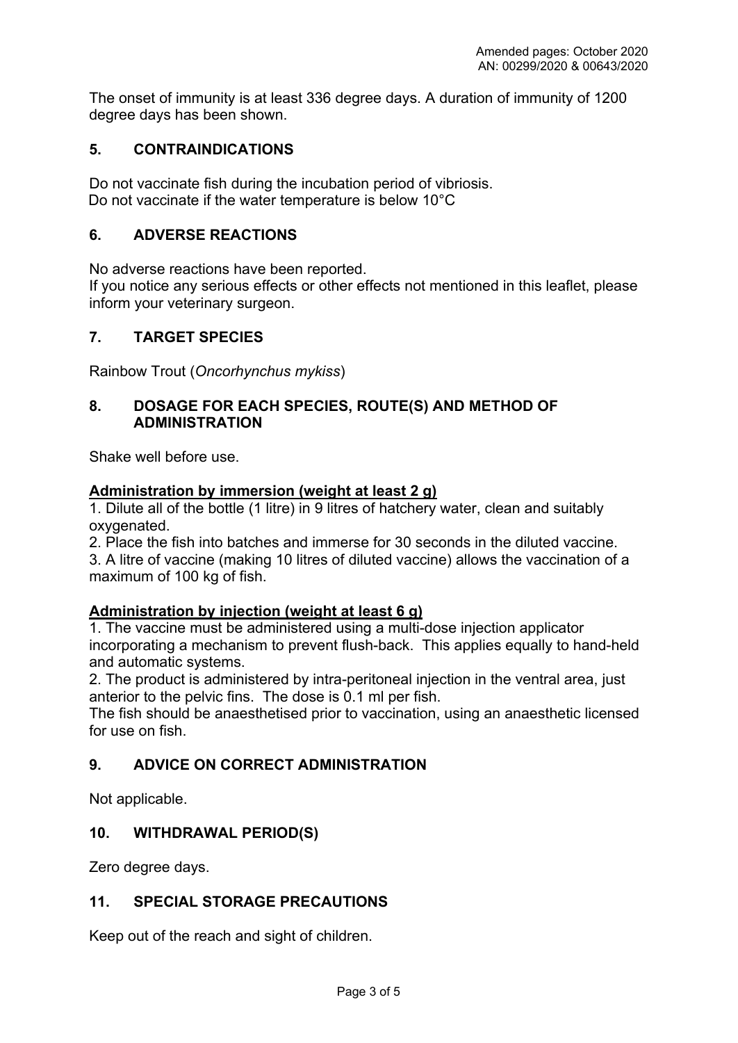The onset of immunity is at least 336 degree days. A duration of immunity of 1200 degree days has been shown.

# **5. CONTRAINDICATIONS**

Do not vaccinate fish during the incubation period of vibriosis. Do not vaccinate if the water temperature is below 10°C

#### **6. ADVERSE REACTIONS**

No adverse reactions have been reported.

If you notice any serious effects or other effects not mentioned in this leaflet, please inform your veterinary surgeon.

#### **7. TARGET SPECIES**

Rainbow Trout (*Oncorhynchus mykiss*)

# **8. DOSAGE FOR EACH SPECIES, ROUTE(S) AND METHOD OF ADMINISTRATION**

Shake well before use.

#### **Administration by immersion (weight at least 2 g)**

1. Dilute all of the bottle (1 litre) in 9 litres of hatchery water, clean and suitably oxygenated.

2. Place the fish into batches and immerse for 30 seconds in the diluted vaccine.

3. A litre of vaccine (making 10 litres of diluted vaccine) allows the vaccination of a maximum of 100 kg of fish.

# **Administration by injection (weight at least 6 g)**

1. The vaccine must be administered using a multi-dose injection applicator incorporating a mechanism to prevent flush-back. This applies equally to hand-held and automatic systems.

2. The product is administered by intra-peritoneal injection in the ventral area, just anterior to the pelvic fins. The dose is 0.1 ml per fish.

The fish should be anaesthetised prior to vaccination, using an anaesthetic licensed for use on fish.

# **9. ADVICE ON CORRECT ADMINISTRATION**

Not applicable.

# **10. WITHDRAWAL PERIOD(S)**

Zero degree days.

# **11. SPECIAL STORAGE PRECAUTIONS**

Keep out of the reach and sight of children.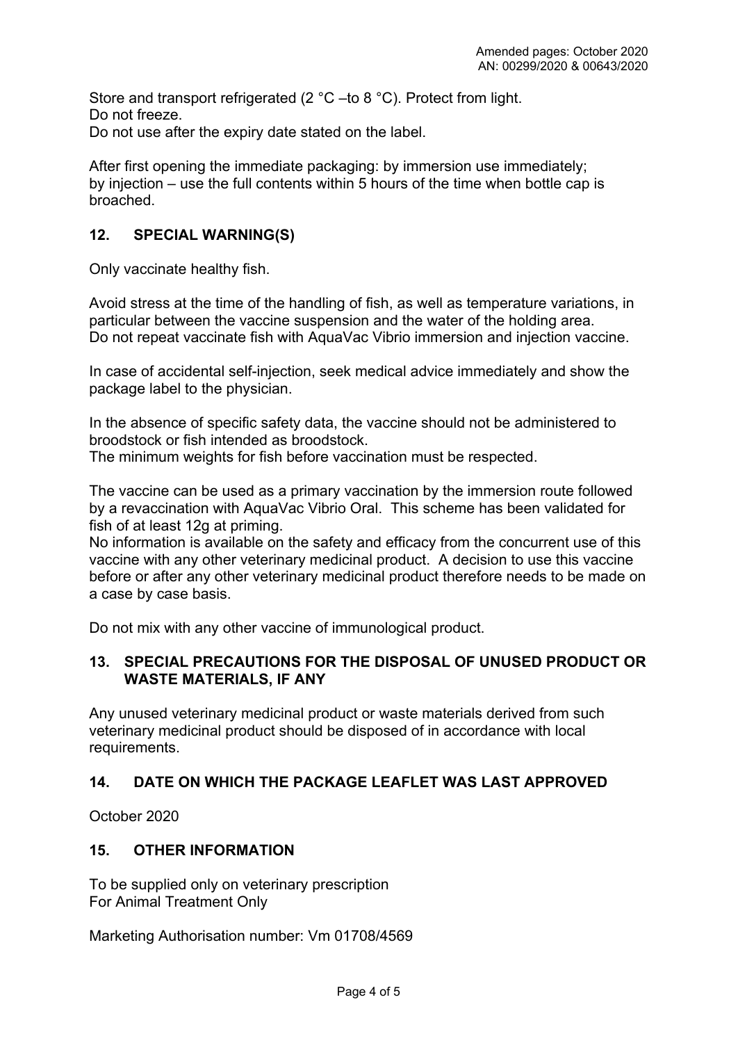Store and transport refrigerated (2 °C –to 8 °C). Protect from light. Do not freeze.

Do not use after the expiry date stated on the label.

After first opening the immediate packaging: by immersion use immediately; by injection – use the full contents within 5 hours of the time when bottle cap is broached.

# **12. SPECIAL WARNING(S)**

Only vaccinate healthy fish.

Avoid stress at the time of the handling of fish, as well as temperature variations, in particular between the vaccine suspension and the water of the holding area. Do not repeat vaccinate fish with AquaVac Vibrio immersion and injection vaccine.

In case of accidental self-injection, seek medical advice immediately and show the package label to the physician.

In the absence of specific safety data, the vaccine should not be administered to broodstock or fish intended as broodstock.

The minimum weights for fish before vaccination must be respected.

The vaccine can be used as a primary vaccination by the immersion route followed by a revaccination with AquaVac Vibrio Oral. This scheme has been validated for fish of at least 12g at priming.

No information is available on the safety and efficacy from the concurrent use of this vaccine with any other veterinary medicinal product. A decision to use this vaccine before or after any other veterinary medicinal product therefore needs to be made on a case by case basis.

Do not mix with any other vaccine of immunological product.

# **13. SPECIAL PRECAUTIONS FOR THE DISPOSAL OF UNUSED PRODUCT OR WASTE MATERIALS, IF ANY**

Any unused veterinary medicinal product or waste materials derived from such veterinary medicinal product should be disposed of in accordance with local requirements.

# **14. DATE ON WHICH THE PACKAGE LEAFLET WAS LAST APPROVED**

October 2020

# **15. OTHER INFORMATION**

To be supplied only on veterinary prescription For Animal Treatment Only

Marketing Authorisation number: Vm 01708/4569